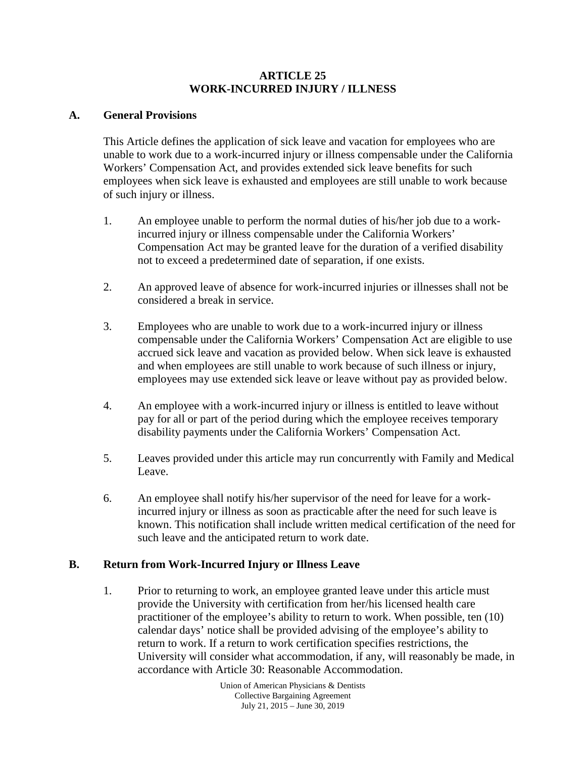### **ARTICLE 25 WORK-INCURRED INJURY / ILLNESS**

### **A. General Provisions**

This Article defines the application of sick leave and vacation for employees who are unable to work due to a work-incurred injury or illness compensable under the California Workers' Compensation Act, and provides extended sick leave benefits for such employees when sick leave is exhausted and employees are still unable to work because of such injury or illness.

- 1. An employee unable to perform the normal duties of his/her job due to a workincurred injury or illness compensable under the California Workers' Compensation Act may be granted leave for the duration of a verified disability not to exceed a predetermined date of separation, if one exists.
- 2. An approved leave of absence for work-incurred injuries or illnesses shall not be considered a break in service.
- 3. Employees who are unable to work due to a work-incurred injury or illness compensable under the California Workers' Compensation Act are eligible to use accrued sick leave and vacation as provided below. When sick leave is exhausted and when employees are still unable to work because of such illness or injury, employees may use extended sick leave or leave without pay as provided below.
- 4. An employee with a work-incurred injury or illness is entitled to leave without pay for all or part of the period during which the employee receives temporary disability payments under the California Workers' Compensation Act.
- 5. Leaves provided under this article may run concurrently with Family and Medical Leave.
- 6. An employee shall notify his/her supervisor of the need for leave for a workincurred injury or illness as soon as practicable after the need for such leave is known. This notification shall include written medical certification of the need for such leave and the anticipated return to work date.

### **B. Return from Work-Incurred Injury or Illness Leave**

1. Prior to returning to work, an employee granted leave under this article must provide the University with certification from her/his licensed health care practitioner of the employee's ability to return to work. When possible, ten (10) calendar days' notice shall be provided advising of the employee's ability to return to work. If a return to work certification specifies restrictions, the University will consider what accommodation, if any, will reasonably be made, in accordance with Article 30: Reasonable Accommodation.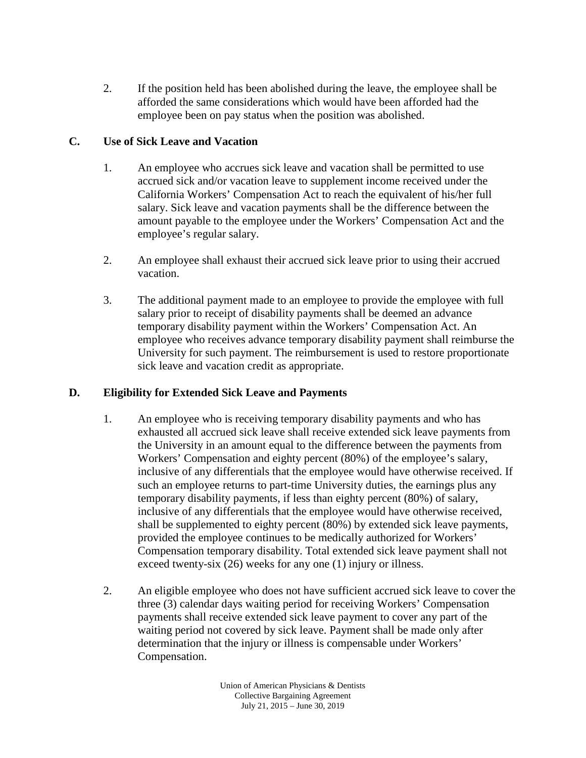2. If the position held has been abolished during the leave, the employee shall be afforded the same considerations which would have been afforded had the employee been on pay status when the position was abolished.

# **C. Use of Sick Leave and Vacation**

- 1. An employee who accrues sick leave and vacation shall be permitted to use accrued sick and/or vacation leave to supplement income received under the California Workers' Compensation Act to reach the equivalent of his/her full salary. Sick leave and vacation payments shall be the difference between the amount payable to the employee under the Workers' Compensation Act and the employee's regular salary.
- 2. An employee shall exhaust their accrued sick leave prior to using their accrued vacation.
- 3. The additional payment made to an employee to provide the employee with full salary prior to receipt of disability payments shall be deemed an advance temporary disability payment within the Workers' Compensation Act. An employee who receives advance temporary disability payment shall reimburse the University for such payment. The reimbursement is used to restore proportionate sick leave and vacation credit as appropriate.

# **D. Eligibility for Extended Sick Leave and Payments**

- 1. An employee who is receiving temporary disability payments and who has exhausted all accrued sick leave shall receive extended sick leave payments from the University in an amount equal to the difference between the payments from Workers' Compensation and eighty percent (80%) of the employee's salary, inclusive of any differentials that the employee would have otherwise received. If such an employee returns to part-time University duties, the earnings plus any temporary disability payments, if less than eighty percent (80%) of salary, inclusive of any differentials that the employee would have otherwise received, shall be supplemented to eighty percent (80%) by extended sick leave payments, provided the employee continues to be medically authorized for Workers' Compensation temporary disability. Total extended sick leave payment shall not exceed twenty-six (26) weeks for any one (1) injury or illness.
- 2. An eligible employee who does not have sufficient accrued sick leave to cover the three (3) calendar days waiting period for receiving Workers' Compensation payments shall receive extended sick leave payment to cover any part of the waiting period not covered by sick leave. Payment shall be made only after determination that the injury or illness is compensable under Workers' Compensation.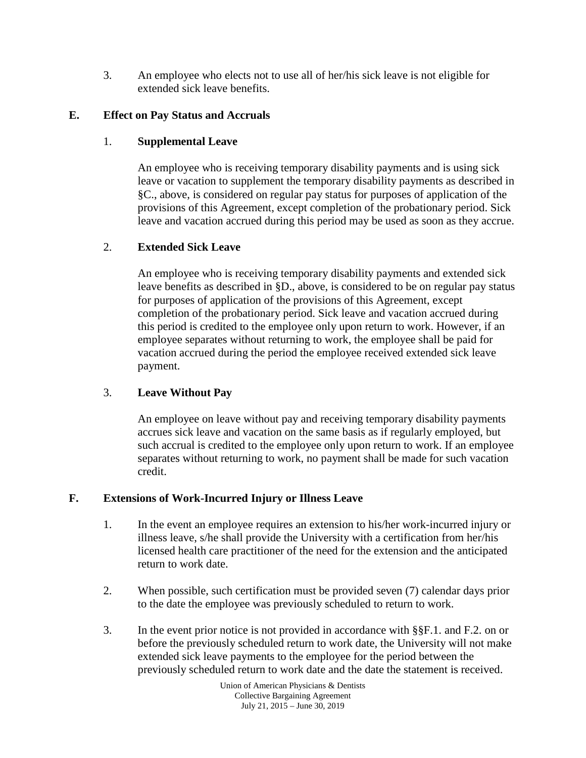3. An employee who elects not to use all of her/his sick leave is not eligible for extended sick leave benefits.

# **E. Effect on Pay Status and Accruals**

# 1. **Supplemental Leave**

An employee who is receiving temporary disability payments and is using sick leave or vacation to supplement the temporary disability payments as described in §C., above, is considered on regular pay status for purposes of application of the provisions of this Agreement, except completion of the probationary period. Sick leave and vacation accrued during this period may be used as soon as they accrue.

# 2. **Extended Sick Leave**

An employee who is receiving temporary disability payments and extended sick leave benefits as described in §D., above, is considered to be on regular pay status for purposes of application of the provisions of this Agreement, except completion of the probationary period. Sick leave and vacation accrued during this period is credited to the employee only upon return to work. However, if an employee separates without returning to work, the employee shall be paid for vacation accrued during the period the employee received extended sick leave payment.

# 3. **Leave Without Pay**

An employee on leave without pay and receiving temporary disability payments accrues sick leave and vacation on the same basis as if regularly employed, but such accrual is credited to the employee only upon return to work. If an employee separates without returning to work, no payment shall be made for such vacation credit.

# **F. Extensions of Work-Incurred Injury or Illness Leave**

- 1. In the event an employee requires an extension to his/her work-incurred injury or illness leave, s/he shall provide the University with a certification from her/his licensed health care practitioner of the need for the extension and the anticipated return to work date.
- 2. When possible, such certification must be provided seven (7) calendar days prior to the date the employee was previously scheduled to return to work.
- 3. In the event prior notice is not provided in accordance with §§F.1. and F.2. on or before the previously scheduled return to work date, the University will not make extended sick leave payments to the employee for the period between the previously scheduled return to work date and the date the statement is received.